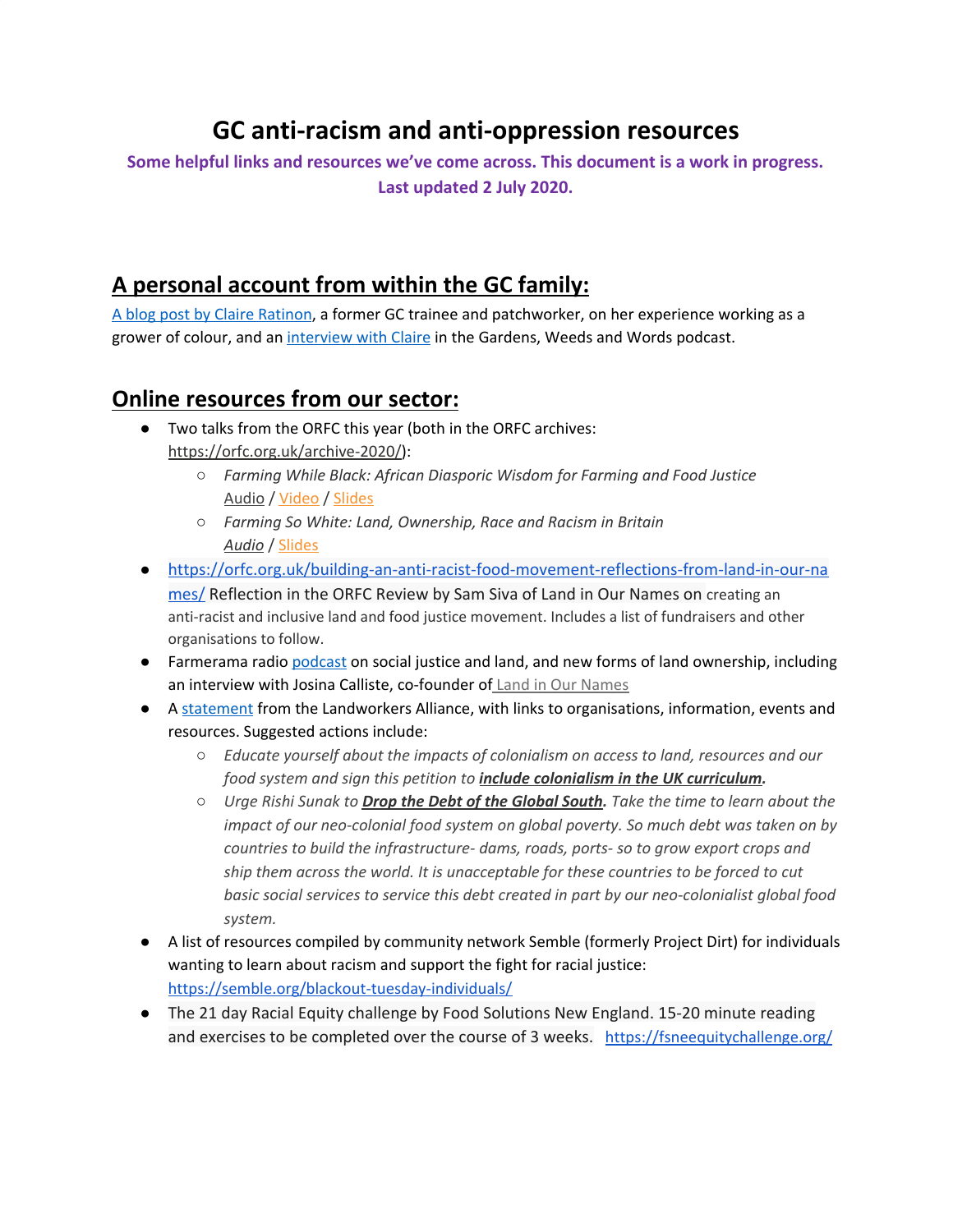# **GC anti-racism and anti-oppression resources**

**Some helpful links and resources we've come across. This document is a work in progress. Last updated 2 July 2020.**

### **A personal account from within the GC family:**

A blog post by Claire [Ratinon](https://claireratinon.substack.com/p/i-dont-belong-here), a former GC trainee and patchworker, on her experience working as a grower of colour, and an [interview](https://podcasts.apple.com/gb/podcast/s02-episode-8-unearthed-with-claire-ratinon/id1418870058?i=1000469740040) with Claire in the Gardens, Weeds and Words podcast.

### **Online resources from our sector:**

- Two talks from the ORFC this year (both in the ORFC archives: <https://orfc.org.uk/archive-2020/>):
	- *Farming While Black: African Diasporic Wisdom for Farming and Food Justice* [Audio](https://soundcloud.com/user-775591787/orfc-2020-mh-13-farming-while-black) / [Video](https://www.youtube.com/watch?v=t0qrNupy_Ng&t=86s) / [Slides](https://docs.google.com/presentation/d/1v_0522nymtlfMO0ixUvjxZhZw2hExj6MvSt_T9RuOvc/edit?urp=gmail_link)
	- *Farming So White: Land, Ownership, Race and Racism in Britain [Audio](https://soundcloud.com/user-775591787/orfc20-14-farming-so-white)* / [Slides](http://orfc.org.uk/wp-content/uploads/2020/01/Farming-so-White_-Land-Ownership-Race-Racism-in-Britain-.pptx)
- [https://orfc.org.uk/building-an-anti-racist-food-movement-reflections-from-land-in-our-na](https://orfc.org.uk/building-an-anti-racist-food-movement-reflections-from-land-in-our-names/) [mes/](https://orfc.org.uk/building-an-anti-racist-food-movement-reflections-from-land-in-our-names/) Reflection in the ORFC Review by Sam Siva of Land in Our Names on creating an anti-racist and inclusive land and food justice movement. Includes a list of fundraisers and other organisations to follow.
- Farmerama radio [podcast](https://farmerama.co/episode/52-oxford-real-farming-conference-social-justice-land-new-forms-of-land-ownership/) on social justice and land, and new forms of land ownership, including an interview with Josina Calliste, co-founder of Land in Our [Names](https://landinournames.community/)
- A [statement](https://landworkersalliance.org.uk/solidarity-george-floyd/) from the Landworkers Alliance, with links to organisations, information, events and resources. Suggested actions include:
	- *Educate yourself about the impacts of colonialism on access to land, resources and our food system and sign this petition to include [colonialism](https://www.change.org/p/gavin-williamson-mp-teach-british-children-about-the-realities-of-british-imperialism-and-colonialism?recruiter=96529330&utm_source=share_petition&utm_medium=facebook&utm_campaign=psf_combo_share_abi&utm_term=share_petition&recruited_by_id=5e49e648-9cca-4262-9c14-88206476a7af&utm_content=fht-22521696-en-gb%3Av12) in the UK curriculum.*
	- *Urge Rishi Sunak to Drop the Debt of the [Global](https://act.globaljustice.org.uk/coronavirus-drop-debt?utm_medium=email&utm_source=mailchimp_2004DEBT&utm_campaign=Aid_campaign) South. Take the time to learn about the impact of our neo-colonial food system on global poverty. So much debt was taken on by countries to build the infrastructure- dams, roads, ports- so to grow export crops and ship them across the world. It is unacceptable for these countries to be forced to cut basic social services to service this debt created in part by our neo-colonialist global food system.*
- A list of resources compiled by community network Semble (formerly Project Dirt) for individuals wanting to learn about racism and support the fight for racial justice: <https://semble.org/blackout-tuesday-individuals/>
- The 21 day Racial Equity challenge by Food Solutions New England. 15-20 minute reading and exercises to be completed over the course of 3 weeks. <https://fsneequitychallenge.org/>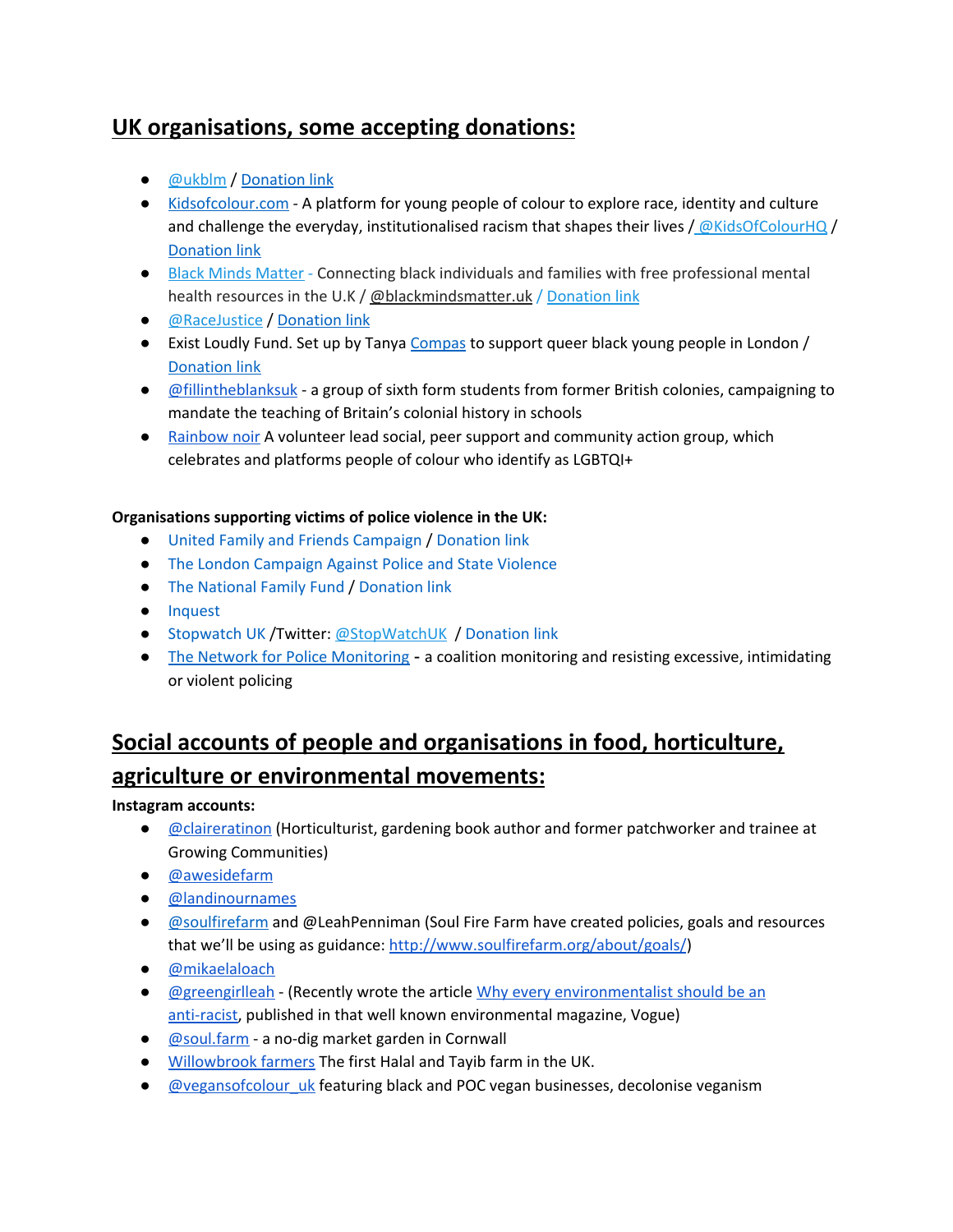### **UK organisations, some accepting donations:**

- **[@ukblm](https://twitter.com/ukblm) / [Donation](https://gofundme.com/f/ukblm-fund) link**
- [Kidsofcolour.com](http://kidsofcolour.com/) A platform for young people of colour to explore race, identity and culture and challenge the everyday, institutionalised racism that shapes their lives  $/$  [@KidsOfColourHQ](https://twitter.com/KidsOfColourHQ)  $/$ [Donation](https://justgiving.com/crowdfunding/kidsofcolour%E2%80%A6) link
- Black Minds [Matter](https://www.blackmindsmatteruk.com/) Connecting black individuals and families with free professional mental health resources in the U.K / [@blackmindsmatter.uk](https://www.instagram.com/blackmindsmatter.uk/) / [Donation](https://www.gofundme.com/f/black-minds-matter-uk) link
- **[@RaceJustice](https://twitter.com/RaceJustice) / [Donation](https://paypal.com/cgi-bin/webscr?cmd=_s-xclick&hosted_button_id=D54XK8V257XVW&source=url%E2%80%A6) link**
- Exist Loudly Fund. Set up by Tanya [Compas](https://twitter.com/TanyaCompas) to support queer black young people in London / **[Donation](https://www.gofundme.com/f/exist-loudly-fund-to-support-queer-black-yp) link**
- [@fillintheblanksuk](https://www.instagram.com/fillintheblanksuk/?hl=en) a group of sixth form students from former British colonies, campaigning to mandate the teaching of Britain's colonial history in schools
- [Rainbow](https://www.instagram.com/rainbownoirmcr/?hl=en) noir A volunteer lead social, peer support and community action group, which celebrates and platforms people of colour who identify as LGBTQI+

#### **Organisations supporting victims of police violence in the UK:**

- United Family and Friends [Campaign](https://uffcampaign.org/) / [Donation](https://uffcampaign.org/donations/) link
- The London [Campaign](https://londonagainstpoliceviolence.wordpress.com/) Against Police and State Violence
- The [National](https://www.memorialfamilyfund.org.uk/donations) Family Fund / [Donation](https://www.memorialfamilyfund.org.uk/donations) link
- [Inquest](https://www.inquest.org.uk/about-us)
- [Stopwatch](https://stopwatchuk.substack.com/) UK / Twitter: [@StopWatchUK](https://twitter.com/StopWatchUK) / [Donation](http://stop-watch.org/about-us/donate) link
- The Network for Police [Monitoring](https://netpol.org/about/donations/) a coalition monitoring and resisting excessive, intimidating or violent policing

## **Social accounts of people and organisations in food, horticulture, agriculture or environmental movements:**

**Instagram accounts:**

- *[@claireratinon](https://www.instagram.com/claireratinon/?hl=en)* (Horticulturist, gardening book author and former patchworker and trainee at Growing Communities)
- [@awesidefarm](https://www.instagram.com/awesidefarm/)
- [@landinournames](https://www.instagram.com/landinournames/)
- **[@soulfirefarm](https://twitter.com/soulfirefarm) and @LeahPenniman (Soul Fire Farm have created policies, goals and resources** that we'll be using as guidance: <http://www.soulfirefarm.org/about/goals/>)
- [@mikaelaloach](https://www.instagram.com/mikaelaloach/)
- [@greengirlleah](https://www.instagram.com/greengirlleah/) (Recently wrote the article Why every [environmentalist](https://www.vogue.com/article/why-every-environmentalist-should-be-anti-racist) should be an [anti-racist,](https://www.vogue.com/article/why-every-environmentalist-should-be-anti-racist) published in that well known environmental magazine, Vogue)
- [@soul.farm](https://www.instagram.com/soul.farm/?hl=en) a no-dig market garden in Cornwall
- [Willowbrook](https://www.instagram.com/willowbrookfarmers/?hl=en) farmers The first Halal and Tayib farm in the UK.
- *[@vegansofcolour\\_uk](https://www.instagram.com/vegansofcolour_uk/?hl=en)* featuring black and POC vegan businesses, decolonise veganism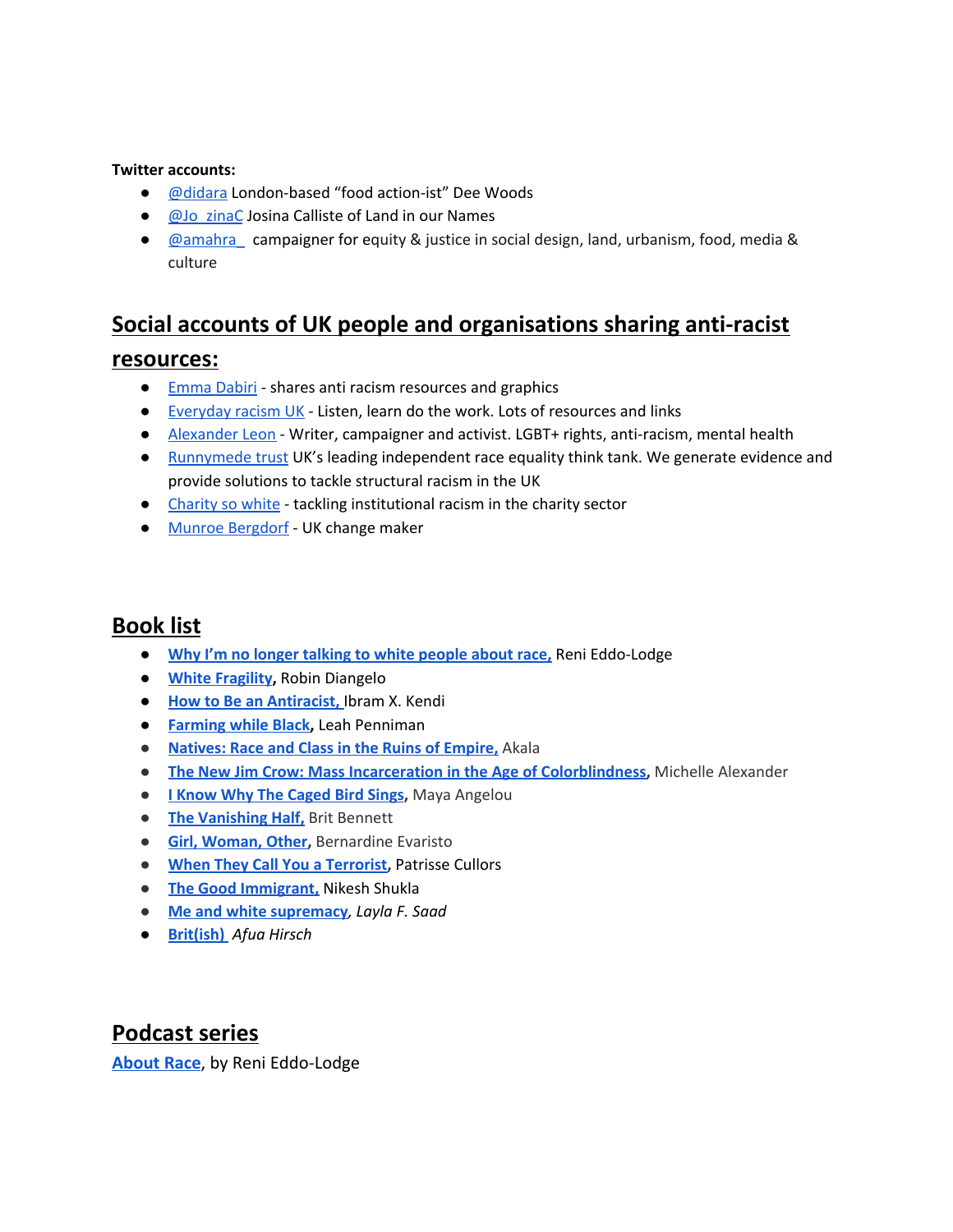#### **Twitter accounts:**

- [@didara](https://twitter.com/Didara) London-based "food action-ist" Dee Woods
- aJo\_zinaC Josina Calliste of Land in our Names
- **[@amahra\\_](https://twitter.com/amahra_) campaigner for equity & justice in social design, land, urbanism, food, media &** culture

### **Social accounts of UK people and organisations sharing anti-racist**

#### **resources:**

- [Emma](https://www.instagram.com/emmadabiri/?hl=en) Dabiri shares anti racism resources and graphics
- [Everyday](https://www.instagram.com/everydayracism_/?hl=en) racism UK Listen, learn do the work. Lots of resources and links
- [Alexander](https://www.instagram.com/alexand_erleon/?hl=en) Leon Writer, campaigner and activist. LGBT+ rights, anti-racism, mental health
- [Runnymede](https://www.instagram.com/runnymedetrust/?hl=en) trust UK's leading independent race equality think tank. We generate evidence and provide solutions to tackle structural racism in the UK
- [Charity](https://twitter.com/CharitySoWhite) so white tackling institutional racism in the charity sector
- Munroe [Bergdorf](https://www.instagram.com/munroebergdorf/?hl=en) UK change maker

### **Book list**

- **Why I'm no longer talking to white [people](https://www.waterstones.com/book/why-im-no-longer-talking-to-white-people-about-race/reni-eddo-lodge/9781408870587) about race,** Reni Eddo-Lodge
- **White [Fragility](https://www.waterstones.com/book/white-fragility/robin-diangelo/9780141990569),** Robin Diangelo
- **How to Be an [Antiracist,](https://www.waterstones.com/book/how-to-be-an-antiracist/ibram-x-kendi/9781847925992)** Ibram X. Kendi
- **[Farming](https://www.goodreads.com/book/show/39928058-farming-while-black) while Black,** Leah Penniman
- **[Natives:](https://www.goodreads.com/book/show/36352480-natives?ac=1&from_search=true&qid=DUxZOocLmd&rank=1) Race and Class in the Ruins of Empire,** Akala
- **The New Jim Crow: Mass Incarceration in the Age of [Colorblindness,](https://www.goodreads.com/book/show/6792458-the-new-jim-crow?ac=1&from_search=true&qid=3AYMPfVlk0&rank=1)** Michelle Alexander
- **I Know Why The [Caged](https://www.goodreads.com/book/show/13214.I_Know_Why_the_Caged_Bird_Sings?ac=1&from_search=true&qid=SrAzUt6kR8&rank=1) Bird Sings,** Maya Angelou
- **The [Vanishing](https://www.goodreads.com/book/show/51791252-the-vanishing-half?ac=1&from_search=true&qid=IBYO5Ow4HY&rank=1) Half,** Brit Bennett
- **Girl, [Woman,](https://www.goodreads.com/book/show/41081373-girl-woman-other?from_search=true&from_srp=true&qid=3AA38ljMms&rank=1) Other,** Bernardine Evaristo
- **When They Call You a [Terrorist,](https://canongate.co.uk/books/2477-when-they-call-you-a-terrorist-a-black-lives-matter-memoir/)** Patrisse Cullors
- **The Good [Immigrant,](https://www.waterstones.com/book/the-good-immigrant/nikesh-shukla/nikesh-shukla/9781783523955)** Nikesh Shukla
- **Me and white [supremacy](https://www.meandwhitesupremacybook.com/)***, Layla F. Saad*
- *●* **[Brit\(ish\)](https://www.penguin.co.uk/books/111/1112508/brit-ish-/9781784705039.html)** *Afua Hirsch*

### **Podcast series**

**[About Race](https://www.aboutracepodcast.com/)**, by Reni Eddo-Lodge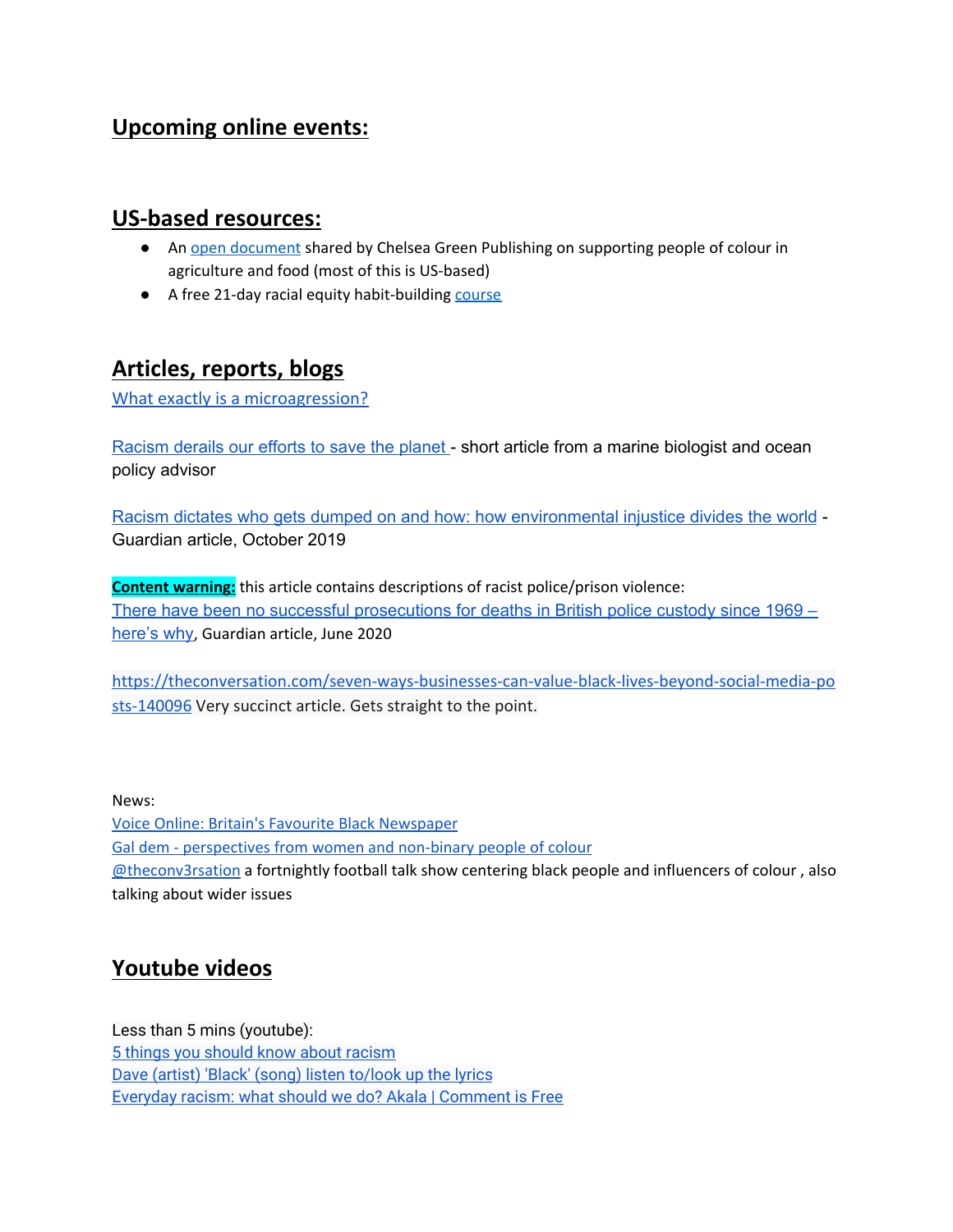### **Upcoming online events:**

### **US-based resources:**

- An open [document](https://docs.google.com/document/d/1-L-mx-aAJrVljcvGcyTUx90evWZWhKjPN1XfPitVqqU/edit#heading=h.ihmk8pg7kqw) shared by Chelsea Green Publishing on supporting people of colour in agriculture and food (most of this is US-based)
- A free 21-day racial equity habit-building [course](https://foodsolutionsne.org/21-day-racial-equity-habit-building-challenge/)

### **Articles, reports, blogs**

[What exactly is a microagression?](https://www.vox.com/2015/2/16/8031073/what-are-microaggressions)

[Racism](https://www.washingtonpost.com/outlook/2020/06/03/im-black-climate-scientist-racism-derails-our-efforts-save-planet/) derails our efforts to save the planet - short article from a marine biologist and ocean policy advisor

Racism dictates who gets dumped on and how: how [environmental](https://www.theguardian.com/environment/2019/oct/21/what-is-environmental-injustice-and-why-is-the-guardian-covering-it) injustice divides the world - Guardian article, October 2019

**Content warning:** this article contains descriptions of racist police/prison violence: There have been no successful [prosecutions](https://www.theguardian.com/uk-news/2020/jun/11/black-deaths-in-police-custody-the-tip-of-an-iceberg-of-racist-treatment) for deaths in British police custody since 1969 – [here's](https://www.theguardian.com/uk-news/2020/jun/11/black-deaths-in-police-custody-the-tip-of-an-iceberg-of-racist-treatment) why, Guardian article, June 2020

[https://theconversation.com/seven-ways-businesses-can-value-black-lives-beyond-social-media-po](https://theconversation.com/seven-ways-businesses-can-value-black-lives-beyond-social-media-posts-140096) [sts-140096](https://theconversation.com/seven-ways-businesses-can-value-black-lives-beyond-social-media-posts-140096) Very succinct article. Gets straight to the point.

#### News:

Voice Online: Britain's Favourite Black [Newspaper](https://www.voice-online.co.uk/) Gal dem - [perspectives](https://gal-dem.com/) from women and non-binary people of colour [@theconv3rsation](https://www.instagram.com/theconv3rsation/?hl=en) a fortnightly football talk show centering black people and influencers of colour , also talking about wider issues

### **Youtube videos**

Less than 5 mins (youtube): [5 things you should know about racism](https://www.youtube.com/watch?v=8eTWZ80z9EE&list=PLUw6KsgRf8OKQgtpni1LLvFge845vi4pe&index=6&t=0s) [Dave \(artist\) 'Black' \(song\) listen to/look up the lyrics](https://www.youtube.com/watch?v=pDUPSNdmFew&list=PLUw6KsgRf8OKQgtpni1LLvFge845vi4pe&index=3) [Everyday racism: what should we do? Akala | Comment is Free](https://www.youtube.com/watch?v=uZUvjAJGFkM&list=PLpmwWuIh57wY81R5rASweSlDUICS_6N_P)